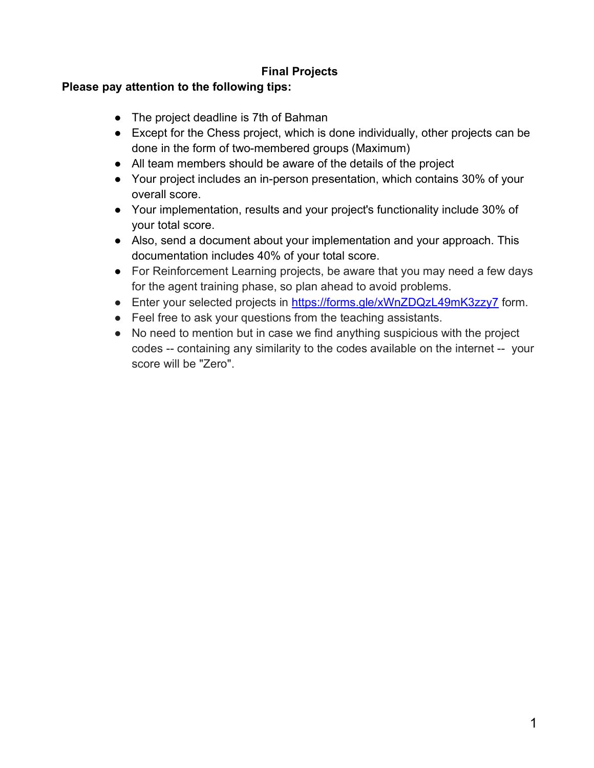## **Final Projects**

## **Please pay attention to the following tips:**

- The project deadline is 7th of Bahman
- Except for the Chess project, which is done individually, other projects can be done in the form of two-membered groups (Maximum)
- All team members should be aware of the details of the project
- Your project includes an in-person presentation, which contains 30% of your overall score.
- Your implementation, results and your project's functionality include 30% of your total score.
- Also, send a document about your implementation and your approach. This documentation includes 40% of your total score.
- For Reinforcement Learning projects, be aware that you may need a few days for the agent training phase, so plan ahead to avoid problems.
- Enter your selected projects in https://forms.gle/xWnZDQzL49mK3zzy7 form.
- Feel free to ask your questions from the teaching assistants.
- No need to mention but in case we find anything suspicious with the project codes -- containing any similarity to the codes available on the internet -- your score will be "Zero".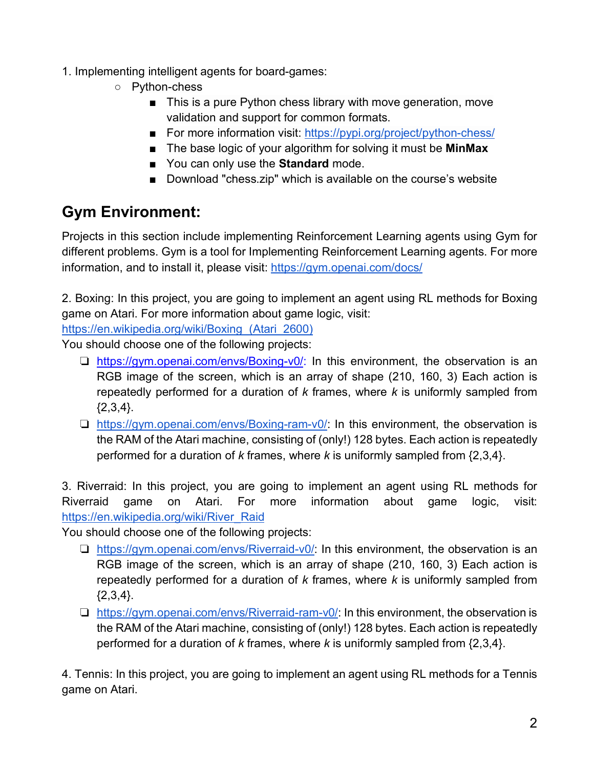- 1. Implementing intelligent agents for board-games:
	- Python-chess
		- This is a pure Python chess library with move generation, move validation and support for common formats.
		- For more information visit: https://pypi.org/project/python-chess/
		- The base logic of your algorithm for solving it must be **MinMax**
		- You can only use the **Standard** mode.
		- Download "chess.zip" which is available on the course's website

## **Gym Environment:**

Projects in this section include implementing Reinforcement Learning agents using Gym for different problems. Gym is a tool for Implementing Reinforcement Learning agents. For more information, and to install it, please visit: https://gym.openai.com/docs/

2. Boxing: In this project, you are going to implement an agent using RL methods for Boxing game on Atari. For more information about game logic, visit:

https://en.wikipedia.org/wiki/Boxing\_(Atari\_2600)

You should choose one of the following projects:

- ❏ https://gym.openai.com/envs/Boxing-v0/: In this environment, the observation is an RGB image of the screen, which is an array of shape (210, 160, 3) Each action is repeatedly performed for a duration of *k* frames, where *k* is uniformly sampled from  ${2,3,4}.$
- ❏ https://gym.openai.com/envs/Boxing-ram-v0/: In this environment, the observation is the RAM of the Atari machine, consisting of (only!) 128 bytes. Each action is repeatedly performed for a duration of *k* frames, where *k* is uniformly sampled from {2,3,4}.

3. Riverraid: In this project, you are going to implement an agent using RL methods for Riverraid game on Atari. For more information about game logic, visit: https://en.wikipedia.org/wiki/River\_Raid

You should choose one of the following projects:

- ❏ https://gym.openai.com/envs/Riverraid-v0/: In this environment, the observation is an RGB image of the screen, which is an array of shape (210, 160, 3) Each action is repeatedly performed for a duration of *k* frames, where *k* is uniformly sampled from {2,3,4}.
- ❏ https://gym.openai.com/envs/Riverraid-ram-v0/: In this environment, the observation is the RAM of the Atari machine, consisting of (only!) 128 bytes. Each action is repeatedly performed for a duration of *k* frames, where *k* is uniformly sampled from {2,3,4}.

4. Tennis: In this project, you are going to implement an agent using RL methods for a Tennis game on Atari.